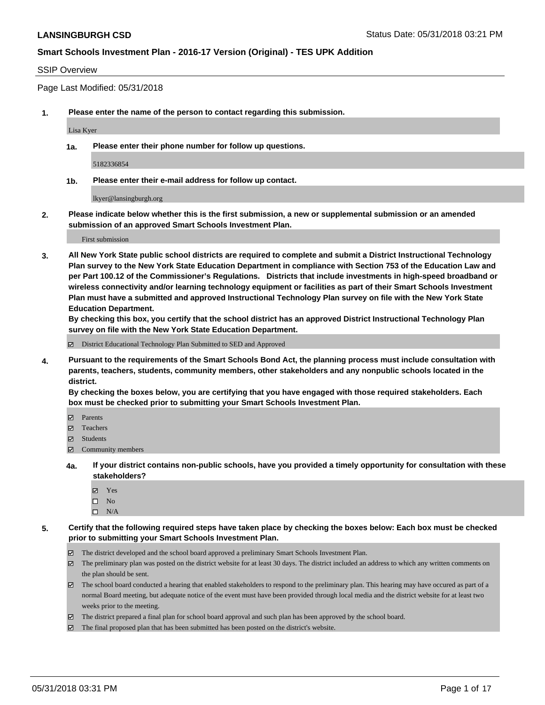#### SSIP Overview

Page Last Modified: 05/31/2018

**1. Please enter the name of the person to contact regarding this submission.**

Lisa Kyer

**1a. Please enter their phone number for follow up questions.**

5182336854

**1b. Please enter their e-mail address for follow up contact.**

lkyer@lansingburgh.org

**2. Please indicate below whether this is the first submission, a new or supplemental submission or an amended submission of an approved Smart Schools Investment Plan.**

First submission

**3. All New York State public school districts are required to complete and submit a District Instructional Technology Plan survey to the New York State Education Department in compliance with Section 753 of the Education Law and per Part 100.12 of the Commissioner's Regulations. Districts that include investments in high-speed broadband or wireless connectivity and/or learning technology equipment or facilities as part of their Smart Schools Investment Plan must have a submitted and approved Instructional Technology Plan survey on file with the New York State Education Department.** 

**By checking this box, you certify that the school district has an approved District Instructional Technology Plan survey on file with the New York State Education Department.**

District Educational Technology Plan Submitted to SED and Approved

**4. Pursuant to the requirements of the Smart Schools Bond Act, the planning process must include consultation with parents, teachers, students, community members, other stakeholders and any nonpublic schools located in the district.** 

**By checking the boxes below, you are certifying that you have engaged with those required stakeholders. Each box must be checked prior to submitting your Smart Schools Investment Plan.**

- Parents
- Teachers
- Students
- $\Xi$  Community members
- **4a. If your district contains non-public schools, have you provided a timely opportunity for consultation with these stakeholders?**
	- Yes
	- $\square$  No
	- $\square$  N/A
- **5. Certify that the following required steps have taken place by checking the boxes below: Each box must be checked prior to submitting your Smart Schools Investment Plan.**
	- The district developed and the school board approved a preliminary Smart Schools Investment Plan.
	- $\boxtimes$  The preliminary plan was posted on the district website for at least 30 days. The district included an address to which any written comments on the plan should be sent.
	- $\boxtimes$  The school board conducted a hearing that enabled stakeholders to respond to the preliminary plan. This hearing may have occured as part of a normal Board meeting, but adequate notice of the event must have been provided through local media and the district website for at least two weeks prior to the meeting.
	- The district prepared a final plan for school board approval and such plan has been approved by the school board.
	- $\boxtimes$  The final proposed plan that has been submitted has been posted on the district's website.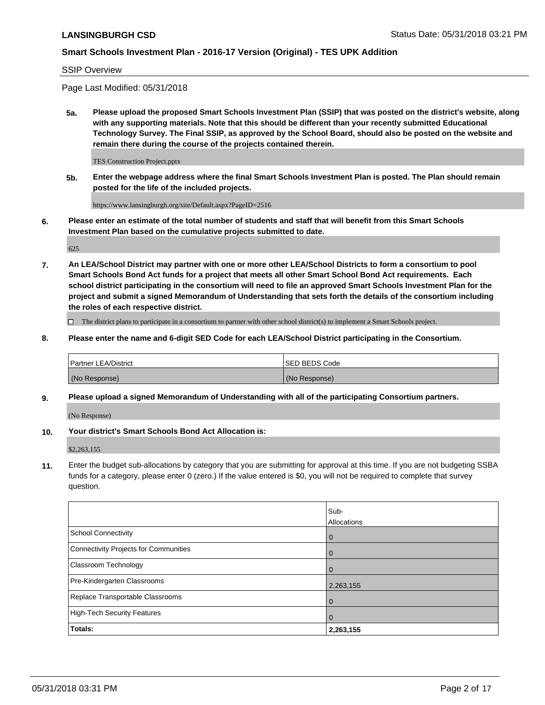#### SSIP Overview

Page Last Modified: 05/31/2018

**5a. Please upload the proposed Smart Schools Investment Plan (SSIP) that was posted on the district's website, along with any supporting materials. Note that this should be different than your recently submitted Educational Technology Survey. The Final SSIP, as approved by the School Board, should also be posted on the website and remain there during the course of the projects contained therein.**

TES Construction Project.pptx

**5b. Enter the webpage address where the final Smart Schools Investment Plan is posted. The Plan should remain posted for the life of the included projects.**

https://www.lansingburgh.org/site/Default.aspx?PageID=2516

**6. Please enter an estimate of the total number of students and staff that will benefit from this Smart Schools Investment Plan based on the cumulative projects submitted to date.**

625

**7. An LEA/School District may partner with one or more other LEA/School Districts to form a consortium to pool Smart Schools Bond Act funds for a project that meets all other Smart School Bond Act requirements. Each school district participating in the consortium will need to file an approved Smart Schools Investment Plan for the project and submit a signed Memorandum of Understanding that sets forth the details of the consortium including the roles of each respective district.**

 $\Box$  The district plans to participate in a consortium to partner with other school district(s) to implement a Smart Schools project.

**8. Please enter the name and 6-digit SED Code for each LEA/School District participating in the Consortium.**

| <b>Partner LEA/District</b> | <b>ISED BEDS Code</b> |
|-----------------------------|-----------------------|
| (No Response)               | (No Response)         |

#### **9. Please upload a signed Memorandum of Understanding with all of the participating Consortium partners.**

(No Response)

**10. Your district's Smart Schools Bond Act Allocation is:**

\$2,263,155

**11.** Enter the budget sub-allocations by category that you are submitting for approval at this time. If you are not budgeting SSBA funds for a category, please enter 0 (zero.) If the value entered is \$0, you will not be required to complete that survey question.

|                                              | Sub-<br>Allocations |
|----------------------------------------------|---------------------|
| <b>School Connectivity</b>                   | $\mathbf 0$         |
| <b>Connectivity Projects for Communities</b> | $\Omega$            |
| Classroom Technology                         | $\overline{0}$      |
| Pre-Kindergarten Classrooms                  | 2,263,155           |
| Replace Transportable Classrooms             | 0                   |
| <b>High-Tech Security Features</b>           | $\overline{0}$      |
| Totals:                                      | 2,263,155           |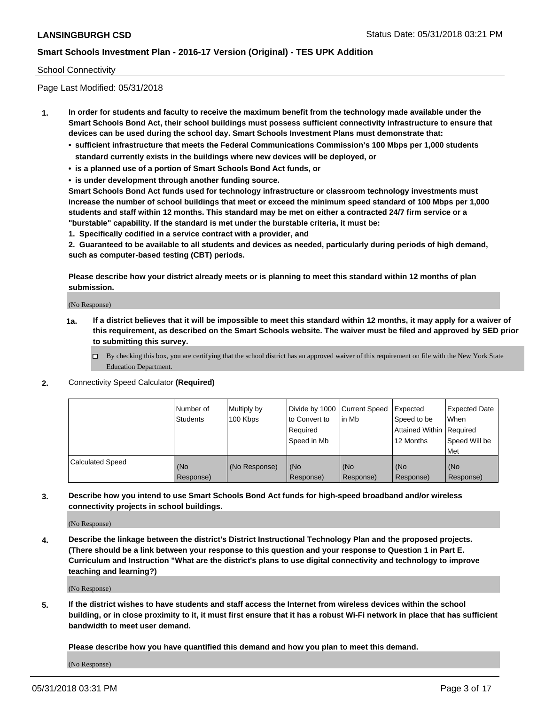#### School Connectivity

Page Last Modified: 05/31/2018

- **1. In order for students and faculty to receive the maximum benefit from the technology made available under the Smart Schools Bond Act, their school buildings must possess sufficient connectivity infrastructure to ensure that devices can be used during the school day. Smart Schools Investment Plans must demonstrate that:**
	- **• sufficient infrastructure that meets the Federal Communications Commission's 100 Mbps per 1,000 students standard currently exists in the buildings where new devices will be deployed, or**
	- **• is a planned use of a portion of Smart Schools Bond Act funds, or**
	- **• is under development through another funding source.**

**Smart Schools Bond Act funds used for technology infrastructure or classroom technology investments must increase the number of school buildings that meet or exceed the minimum speed standard of 100 Mbps per 1,000 students and staff within 12 months. This standard may be met on either a contracted 24/7 firm service or a "burstable" capability. If the standard is met under the burstable criteria, it must be:**

**1. Specifically codified in a service contract with a provider, and**

**2. Guaranteed to be available to all students and devices as needed, particularly during periods of high demand, such as computer-based testing (CBT) periods.**

**Please describe how your district already meets or is planning to meet this standard within 12 months of plan submission.**

(No Response)

- **1a. If a district believes that it will be impossible to meet this standard within 12 months, it may apply for a waiver of this requirement, as described on the Smart Schools website. The waiver must be filed and approved by SED prior to submitting this survey.**
	- By checking this box, you are certifying that the school district has an approved waiver of this requirement on file with the New York State Education Department.
- **2.** Connectivity Speed Calculator **(Required)**

|                         | l Number of<br><b>Students</b> | Multiply by<br>100 Kbps | Divide by 1000 Current Speed<br>to Convert to<br>Required<br>l Speed in Mb | lin Mb           | Expected<br>Speed to be<br>Attained Within Required<br>12 Months | <b>Expected Date</b><br><b>When</b><br>Speed Will be<br>l Met |
|-------------------------|--------------------------------|-------------------------|----------------------------------------------------------------------------|------------------|------------------------------------------------------------------|---------------------------------------------------------------|
| <b>Calculated Speed</b> | (No<br>Response)               | (No Response)           | (No<br>Response)                                                           | (No<br>Response) | (No<br>Response)                                                 | l (No<br>Response)                                            |

**3. Describe how you intend to use Smart Schools Bond Act funds for high-speed broadband and/or wireless connectivity projects in school buildings.**

(No Response)

**4. Describe the linkage between the district's District Instructional Technology Plan and the proposed projects. (There should be a link between your response to this question and your response to Question 1 in Part E. Curriculum and Instruction "What are the district's plans to use digital connectivity and technology to improve teaching and learning?)**

(No Response)

**5. If the district wishes to have students and staff access the Internet from wireless devices within the school building, or in close proximity to it, it must first ensure that it has a robust Wi-Fi network in place that has sufficient bandwidth to meet user demand.**

**Please describe how you have quantified this demand and how you plan to meet this demand.**

(No Response)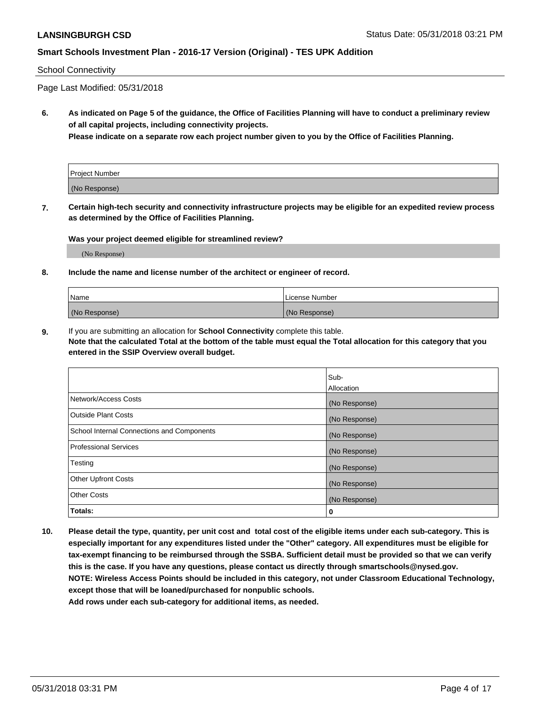#### School Connectivity

Page Last Modified: 05/31/2018

**6. As indicated on Page 5 of the guidance, the Office of Facilities Planning will have to conduct a preliminary review of all capital projects, including connectivity projects.**

**Please indicate on a separate row each project number given to you by the Office of Facilities Planning.**

| Project Number |  |
|----------------|--|
| (No Response)  |  |

**7. Certain high-tech security and connectivity infrastructure projects may be eligible for an expedited review process as determined by the Office of Facilities Planning.**

#### **Was your project deemed eligible for streamlined review?**

(No Response)

#### **8. Include the name and license number of the architect or engineer of record.**

| Name          | l License Number |
|---------------|------------------|
| (No Response) | (No Response)    |

**9.** If you are submitting an allocation for **School Connectivity** complete this table.

**Note that the calculated Total at the bottom of the table must equal the Total allocation for this category that you entered in the SSIP Overview overall budget.** 

|                                            | Sub-          |
|--------------------------------------------|---------------|
|                                            | Allocation    |
| Network/Access Costs                       | (No Response) |
| Outside Plant Costs                        | (No Response) |
| School Internal Connections and Components | (No Response) |
| Professional Services                      | (No Response) |
| Testing                                    | (No Response) |
| <b>Other Upfront Costs</b>                 | (No Response) |
| <b>Other Costs</b>                         | (No Response) |
| Totals:                                    | 0             |

**10. Please detail the type, quantity, per unit cost and total cost of the eligible items under each sub-category. This is especially important for any expenditures listed under the "Other" category. All expenditures must be eligible for tax-exempt financing to be reimbursed through the SSBA. Sufficient detail must be provided so that we can verify this is the case. If you have any questions, please contact us directly through smartschools@nysed.gov. NOTE: Wireless Access Points should be included in this category, not under Classroom Educational Technology, except those that will be loaned/purchased for nonpublic schools.**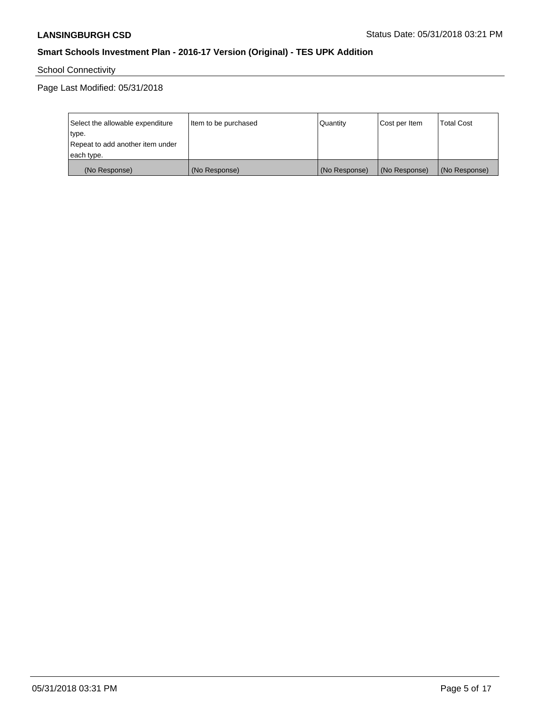School Connectivity

Page Last Modified: 05/31/2018

| Select the allowable expenditure | Item to be purchased | Quantity      | Cost per Item | <b>Total Cost</b> |
|----------------------------------|----------------------|---------------|---------------|-------------------|
| type.                            |                      |               |               |                   |
| Repeat to add another item under |                      |               |               |                   |
| each type.                       |                      |               |               |                   |
| (No Response)                    | (No Response)        | (No Response) | (No Response) | (No Response)     |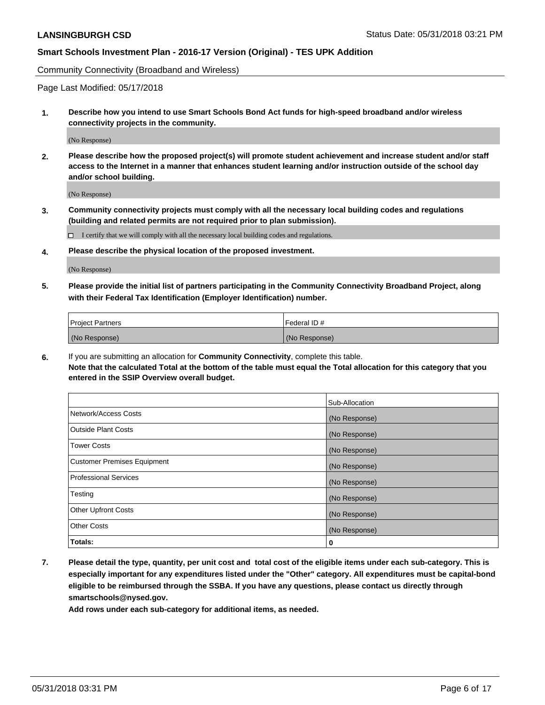Community Connectivity (Broadband and Wireless)

Page Last Modified: 05/17/2018

**1. Describe how you intend to use Smart Schools Bond Act funds for high-speed broadband and/or wireless connectivity projects in the community.**

(No Response)

**2. Please describe how the proposed project(s) will promote student achievement and increase student and/or staff access to the Internet in a manner that enhances student learning and/or instruction outside of the school day and/or school building.**

(No Response)

**3. Community connectivity projects must comply with all the necessary local building codes and regulations (building and related permits are not required prior to plan submission).**

 $\Box$  I certify that we will comply with all the necessary local building codes and regulations.

**4. Please describe the physical location of the proposed investment.**

(No Response)

**5. Please provide the initial list of partners participating in the Community Connectivity Broadband Project, along with their Federal Tax Identification (Employer Identification) number.**

| <b>Project Partners</b> | Federal ID#   |
|-------------------------|---------------|
| (No Response)           | (No Response) |

**6.** If you are submitting an allocation for **Community Connectivity**, complete this table. **Note that the calculated Total at the bottom of the table must equal the Total allocation for this category that you entered in the SSIP Overview overall budget.**

|                                    | Sub-Allocation |
|------------------------------------|----------------|
| Network/Access Costs               | (No Response)  |
| Outside Plant Costs                | (No Response)  |
| <b>Tower Costs</b>                 | (No Response)  |
| <b>Customer Premises Equipment</b> | (No Response)  |
| <b>Professional Services</b>       | (No Response)  |
| Testing                            | (No Response)  |
| <b>Other Upfront Costs</b>         | (No Response)  |
| <b>Other Costs</b>                 | (No Response)  |
| Totals:                            | 0              |

**7. Please detail the type, quantity, per unit cost and total cost of the eligible items under each sub-category. This is especially important for any expenditures listed under the "Other" category. All expenditures must be capital-bond eligible to be reimbursed through the SSBA. If you have any questions, please contact us directly through smartschools@nysed.gov.**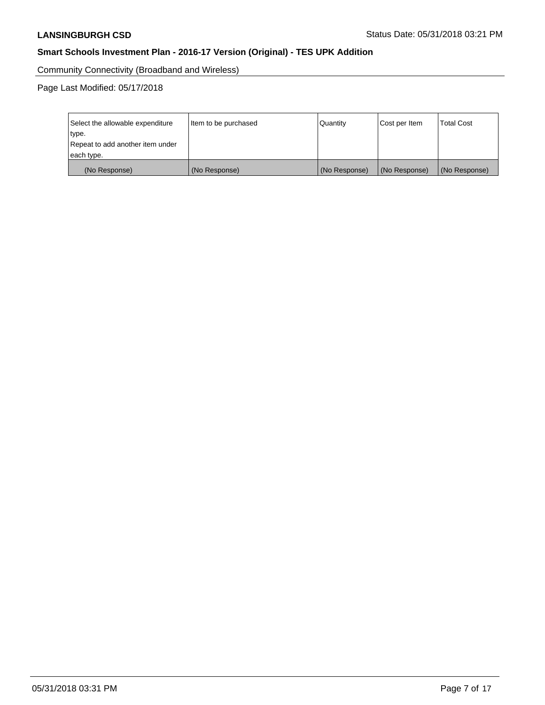Community Connectivity (Broadband and Wireless)

Page Last Modified: 05/17/2018

| Select the allowable expenditure<br>type.<br>Repeat to add another item under<br>each type. | Item to be purchased | Quantity      | Cost per Item | <b>Total Cost</b> |
|---------------------------------------------------------------------------------------------|----------------------|---------------|---------------|-------------------|
| (No Response)                                                                               | (No Response)        | (No Response) | (No Response) | (No Response)     |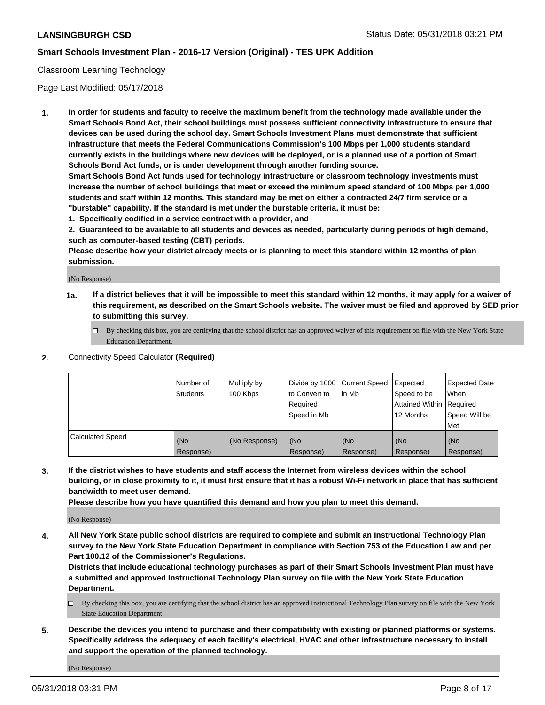#### Classroom Learning Technology

Page Last Modified: 05/17/2018

**1. In order for students and faculty to receive the maximum benefit from the technology made available under the Smart Schools Bond Act, their school buildings must possess sufficient connectivity infrastructure to ensure that devices can be used during the school day. Smart Schools Investment Plans must demonstrate that sufficient infrastructure that meets the Federal Communications Commission's 100 Mbps per 1,000 students standard currently exists in the buildings where new devices will be deployed, or is a planned use of a portion of Smart Schools Bond Act funds, or is under development through another funding source.**

**Smart Schools Bond Act funds used for technology infrastructure or classroom technology investments must increase the number of school buildings that meet or exceed the minimum speed standard of 100 Mbps per 1,000 students and staff within 12 months. This standard may be met on either a contracted 24/7 firm service or a "burstable" capability. If the standard is met under the burstable criteria, it must be:**

**1. Specifically codified in a service contract with a provider, and**

**2. Guaranteed to be available to all students and devices as needed, particularly during periods of high demand, such as computer-based testing (CBT) periods.**

**Please describe how your district already meets or is planning to meet this standard within 12 months of plan submission.**

(No Response)

- **1a. If a district believes that it will be impossible to meet this standard within 12 months, it may apply for a waiver of this requirement, as described on the Smart Schools website. The waiver must be filed and approved by SED prior to submitting this survey.**
	- By checking this box, you are certifying that the school district has an approved waiver of this requirement on file with the New York State Education Department.
- **2.** Connectivity Speed Calculator **(Required)**

|                         | Number of<br><b>Students</b> | Multiply by<br>100 Kbps | Divide by 1000 Current Speed<br>to Convert to<br>Required<br>Speed in Mb | l in Mb          | Expected<br>Speed to be<br>Attained Within Required<br>12 Months | Expected Date<br>When<br>Speed Will be<br>Met |
|-------------------------|------------------------------|-------------------------|--------------------------------------------------------------------------|------------------|------------------------------------------------------------------|-----------------------------------------------|
| <b>Calculated Speed</b> | (No<br>Response)             | (No Response)           | (No<br>Response)                                                         | (No<br>Response) | (No<br>Response)                                                 | (No<br>Response)                              |

**3. If the district wishes to have students and staff access the Internet from wireless devices within the school building, or in close proximity to it, it must first ensure that it has a robust Wi-Fi network in place that has sufficient bandwidth to meet user demand.**

**Please describe how you have quantified this demand and how you plan to meet this demand.**

(No Response)

**4. All New York State public school districts are required to complete and submit an Instructional Technology Plan survey to the New York State Education Department in compliance with Section 753 of the Education Law and per Part 100.12 of the Commissioner's Regulations.**

**Districts that include educational technology purchases as part of their Smart Schools Investment Plan must have a submitted and approved Instructional Technology Plan survey on file with the New York State Education Department.**

- By checking this box, you are certifying that the school district has an approved Instructional Technology Plan survey on file with the New York State Education Department.
- **5. Describe the devices you intend to purchase and their compatibility with existing or planned platforms or systems. Specifically address the adequacy of each facility's electrical, HVAC and other infrastructure necessary to install and support the operation of the planned technology.**

(No Response)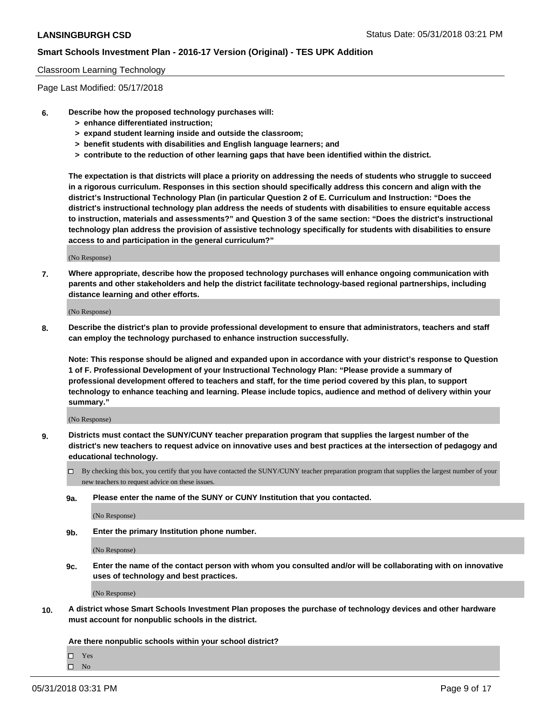#### Classroom Learning Technology

Page Last Modified: 05/17/2018

- **6. Describe how the proposed technology purchases will:**
	- **> enhance differentiated instruction;**
	- **> expand student learning inside and outside the classroom;**
	- **> benefit students with disabilities and English language learners; and**
	- **> contribute to the reduction of other learning gaps that have been identified within the district.**

**The expectation is that districts will place a priority on addressing the needs of students who struggle to succeed in a rigorous curriculum. Responses in this section should specifically address this concern and align with the district's Instructional Technology Plan (in particular Question 2 of E. Curriculum and Instruction: "Does the district's instructional technology plan address the needs of students with disabilities to ensure equitable access to instruction, materials and assessments?" and Question 3 of the same section: "Does the district's instructional technology plan address the provision of assistive technology specifically for students with disabilities to ensure access to and participation in the general curriculum?"**

(No Response)

**7. Where appropriate, describe how the proposed technology purchases will enhance ongoing communication with parents and other stakeholders and help the district facilitate technology-based regional partnerships, including distance learning and other efforts.**

(No Response)

**8. Describe the district's plan to provide professional development to ensure that administrators, teachers and staff can employ the technology purchased to enhance instruction successfully.**

**Note: This response should be aligned and expanded upon in accordance with your district's response to Question 1 of F. Professional Development of your Instructional Technology Plan: "Please provide a summary of professional development offered to teachers and staff, for the time period covered by this plan, to support technology to enhance teaching and learning. Please include topics, audience and method of delivery within your summary."**

(No Response)

- **9. Districts must contact the SUNY/CUNY teacher preparation program that supplies the largest number of the district's new teachers to request advice on innovative uses and best practices at the intersection of pedagogy and educational technology.**
	- By checking this box, you certify that you have contacted the SUNY/CUNY teacher preparation program that supplies the largest number of your new teachers to request advice on these issues.
	- **9a. Please enter the name of the SUNY or CUNY Institution that you contacted.**

(No Response)

**9b. Enter the primary Institution phone number.**

(No Response)

**9c. Enter the name of the contact person with whom you consulted and/or will be collaborating with on innovative uses of technology and best practices.**

(No Response)

**10. A district whose Smart Schools Investment Plan proposes the purchase of technology devices and other hardware must account for nonpublic schools in the district.**

**Are there nonpublic schools within your school district?**

 $\Box$ Yes

 $\square$  No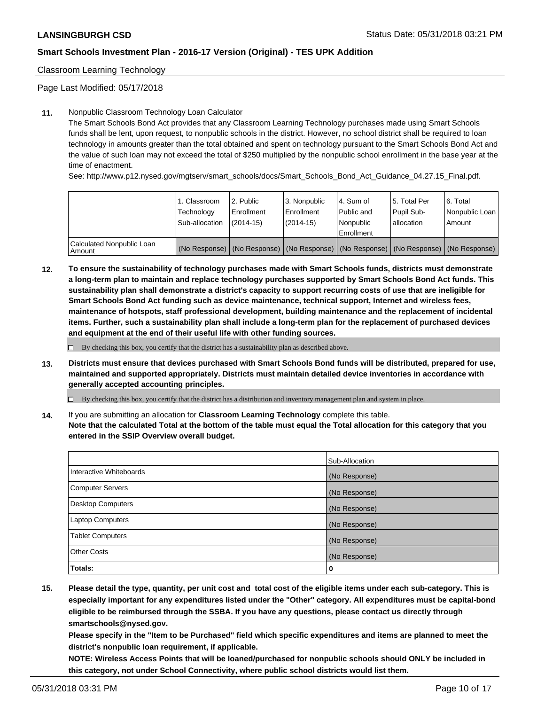Classroom Learning Technology

Page Last Modified: 05/17/2018

#### **11.** Nonpublic Classroom Technology Loan Calculator

The Smart Schools Bond Act provides that any Classroom Learning Technology purchases made using Smart Schools funds shall be lent, upon request, to nonpublic schools in the district. However, no school district shall be required to loan technology in amounts greater than the total obtained and spent on technology pursuant to the Smart Schools Bond Act and the value of such loan may not exceed the total of \$250 multiplied by the nonpublic school enrollment in the base year at the time of enactment.

See: http://www.p12.nysed.gov/mgtserv/smart\_schools/docs/Smart\_Schools\_Bond\_Act\_Guidance\_04.27.15\_Final.pdf.

|                                       | 1. Classroom<br>Technology<br>Sub-allocation | l 2. Public<br>Enrollment<br>$(2014 - 15)$ | <sup>1</sup> 3. Nonpublic<br>Enrollment<br>(2014-15) | l 4. Sum of<br>Public and<br>l Nonpublic<br>Enrollment | l 5. Total Per<br>Pupil Sub-<br>l allocation                                                  | l 6. Total<br>Nonpublic Loan<br>Amount |
|---------------------------------------|----------------------------------------------|--------------------------------------------|------------------------------------------------------|--------------------------------------------------------|-----------------------------------------------------------------------------------------------|----------------------------------------|
| Calculated Nonpublic Loan<br>l Amount |                                              |                                            |                                                      |                                                        | (No Response)   (No Response)   (No Response)   (No Response)   (No Response)   (No Response) |                                        |

**12. To ensure the sustainability of technology purchases made with Smart Schools funds, districts must demonstrate a long-term plan to maintain and replace technology purchases supported by Smart Schools Bond Act funds. This sustainability plan shall demonstrate a district's capacity to support recurring costs of use that are ineligible for Smart Schools Bond Act funding such as device maintenance, technical support, Internet and wireless fees, maintenance of hotspots, staff professional development, building maintenance and the replacement of incidental items. Further, such a sustainability plan shall include a long-term plan for the replacement of purchased devices and equipment at the end of their useful life with other funding sources.**

 $\square$  By checking this box, you certify that the district has a sustainability plan as described above.

**13. Districts must ensure that devices purchased with Smart Schools Bond funds will be distributed, prepared for use, maintained and supported appropriately. Districts must maintain detailed device inventories in accordance with generally accepted accounting principles.**

By checking this box, you certify that the district has a distribution and inventory management plan and system in place.

**14.** If you are submitting an allocation for **Classroom Learning Technology** complete this table.

**Note that the calculated Total at the bottom of the table must equal the Total allocation for this category that you entered in the SSIP Overview overall budget.**

|                          | Sub-Allocation |
|--------------------------|----------------|
| Interactive Whiteboards  | (No Response)  |
| <b>Computer Servers</b>  | (No Response)  |
| <b>Desktop Computers</b> | (No Response)  |
| <b>Laptop Computers</b>  | (No Response)  |
| <b>Tablet Computers</b>  | (No Response)  |
| <b>Other Costs</b>       | (No Response)  |
| Totals:                  | 0              |

**15. Please detail the type, quantity, per unit cost and total cost of the eligible items under each sub-category. This is especially important for any expenditures listed under the "Other" category. All expenditures must be capital-bond eligible to be reimbursed through the SSBA. If you have any questions, please contact us directly through smartschools@nysed.gov.**

**Please specify in the "Item to be Purchased" field which specific expenditures and items are planned to meet the district's nonpublic loan requirement, if applicable.**

**NOTE: Wireless Access Points that will be loaned/purchased for nonpublic schools should ONLY be included in this category, not under School Connectivity, where public school districts would list them.**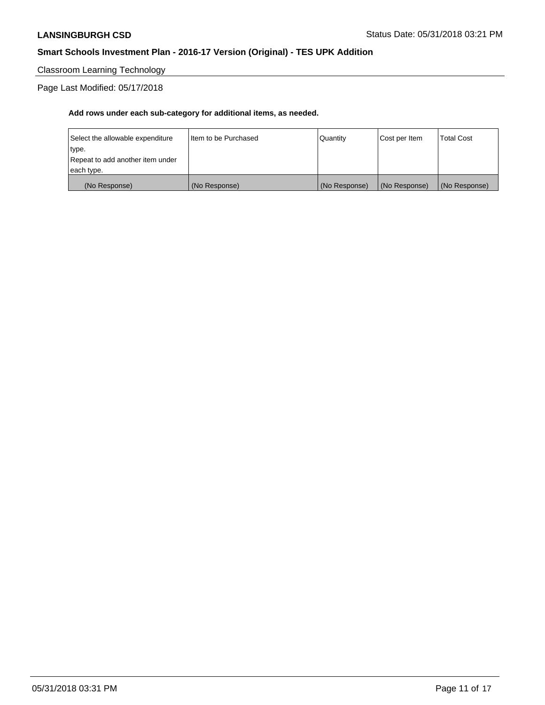Classroom Learning Technology

Page Last Modified: 05/17/2018

| (No Response)                    | (No Response)          | (No Response) | (No Response) | (No Response)     |
|----------------------------------|------------------------|---------------|---------------|-------------------|
| each type.                       |                        |               |               |                   |
| Repeat to add another item under |                        |               |               |                   |
| type.                            |                        |               |               |                   |
| Select the allowable expenditure | I Item to be Purchased | Quantity      | Cost per Item | <b>Total Cost</b> |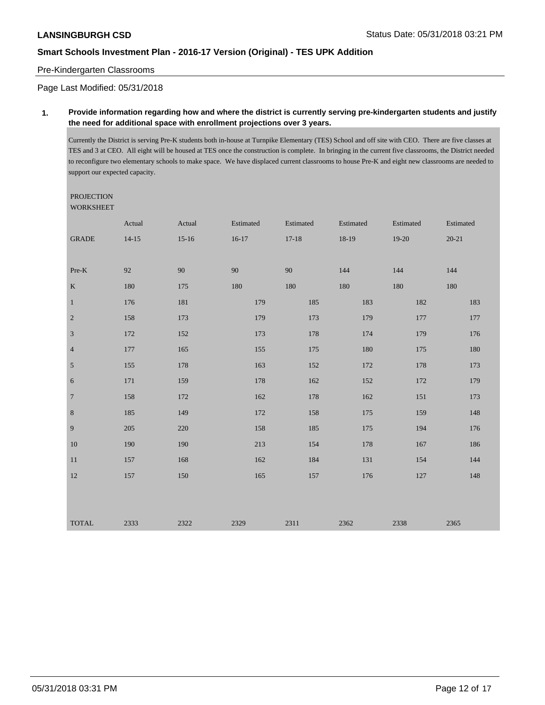#### Pre-Kindergarten Classrooms

Page Last Modified: 05/31/2018

#### **1. Provide information regarding how and where the district is currently serving pre-kindergarten students and justify the need for additional space with enrollment projections over 3 years.**

Currently the District is serving Pre-K students both in-house at Turnpike Elementary (TES) School and off site with CEO. There are five classes at TES and 3 at CEO. All eight will be housed at TES once the construction is complete. In bringing in the current five classrooms, the District needed to reconfigure two elementary schools to make space. We have displaced current classrooms to house Pre-K and eight new classrooms are needed to support our expected capacity.

#### PROJECTION **WORKSHEET**

|                             | Actual    | Actual    | Estimated | Estimated | Estimated | Estimated | Estimated |
|-----------------------------|-----------|-----------|-----------|-----------|-----------|-----------|-----------|
| <b>GRADE</b>                | $14 - 15$ | $15 - 16$ | $16-17$   | $17 - 18$ | 18-19     | 19-20     | $20 - 21$ |
|                             |           |           |           |           |           |           |           |
| Pre-K                       | 92        | 90        | $90\,$    | $90\,$    | 144       | 144       | 144       |
| $\mathbf K$                 | 180       | 175       | 180       | 180       | $180\,$   | 180       | 180       |
| $\mathbf{1}$                | 176       | 181       | 179       | 185       | 183       | 182       | 183       |
| $\sqrt{2}$                  | 158       | 173       | 179       | 173       | 179       | 177       | 177       |
| $\ensuremath{\mathfrak{Z}}$ | 172       | 152       | 173       | 178       | 174       | 179       | 176       |
| $\overline{4}$              | 177       | 165       | 155       | 175       | 180       | 175       | $180\,$   |
| $\sqrt{5}$                  | 155       | 178       | 163       | 152       | 172       | 178       | 173       |
| $\sqrt{6}$                  | 171       | 159       | 178       | 162       | 152       | 172       | 179       |
| $\boldsymbol{7}$            | 158       | 172       | 162       | 178       | 162       | 151       | 173       |
| $\,$ 8 $\,$                 | 185       | 149       | 172       | 158       | 175       | 159       | 148       |
| $\boldsymbol{9}$            | 205       | 220       | 158       | 185       | 175       | 194       | 176       |
| $10\,$                      | 190       | 190       | 213       | 154       | 178       | 167       | 186       |
| 11                          | 157       | 168       | 162       | 184       | 131       | 154       | 144       |
| $12\,$                      | 157       | 150       | 165       | 157       | 176       | 127       | 148       |
|                             |           |           |           |           |           |           |           |
|                             |           |           |           |           |           |           |           |
| TOTAL                       | 2333      | 2322      | 2329      | 2311      | 2362      | 2338      | 2365      |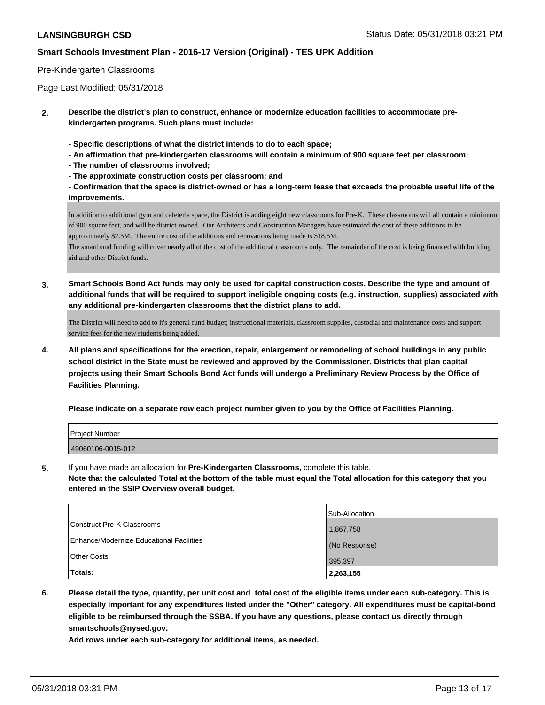#### Pre-Kindergarten Classrooms

Page Last Modified: 05/31/2018

- **2. Describe the district's plan to construct, enhance or modernize education facilities to accommodate prekindergarten programs. Such plans must include:**
	- **Specific descriptions of what the district intends to do to each space;**
	- **An affirmation that pre-kindergarten classrooms will contain a minimum of 900 square feet per classroom;**
	- **The number of classrooms involved;**
	- **The approximate construction costs per classroom; and**

**- Confirmation that the space is district-owned or has a long-term lease that exceeds the probable useful life of the improvements.**

In addition to additional gym and cafeteria space, the District is adding eight new classrooms for Pre-K. These classrooms will all contain a minimum of 900 square feet, and will be district-owned. Our Architects and Construction Managers have estimated the cost of these additions to be approximately \$2.5M. The entire cost of the additions and renovations being made is \$18.5M.

The smartbond funding will cover nearly all of the cost of the additional classrooms only. The remainder of the cost is being financed with building aid and other District funds.

**3. Smart Schools Bond Act funds may only be used for capital construction costs. Describe the type and amount of additional funds that will be required to support ineligible ongoing costs (e.g. instruction, supplies) associated with any additional pre-kindergarten classrooms that the district plans to add.**

The District will need to add to it's general fund budget; instructional materials, classroom supplies, custodial and maintenance costs and support service fees for the new students being added.

**4. All plans and specifications for the erection, repair, enlargement or remodeling of school buildings in any public school district in the State must be reviewed and approved by the Commissioner. Districts that plan capital projects using their Smart Schools Bond Act funds will undergo a Preliminary Review Process by the Office of Facilities Planning.**

**Please indicate on a separate row each project number given to you by the Office of Facilities Planning.**

| <b>Project Number</b> |  |
|-----------------------|--|
| 49060106-0015-012     |  |

**5.** If you have made an allocation for **Pre-Kindergarten Classrooms,** complete this table.

**Note that the calculated Total at the bottom of the table must equal the Total allocation for this category that you entered in the SSIP Overview overall budget.**

|                                          | Sub-Allocation |
|------------------------------------------|----------------|
| Construct Pre-K Classrooms               | 1,867,758      |
| Enhance/Modernize Educational Facilities | (No Response)  |
| <b>Other Costs</b>                       | 395,397        |
| Totals:                                  | 2,263,155      |

**6. Please detail the type, quantity, per unit cost and total cost of the eligible items under each sub-category. This is especially important for any expenditures listed under the "Other" category. All expenditures must be capital-bond eligible to be reimbursed through the SSBA. If you have any questions, please contact us directly through smartschools@nysed.gov.**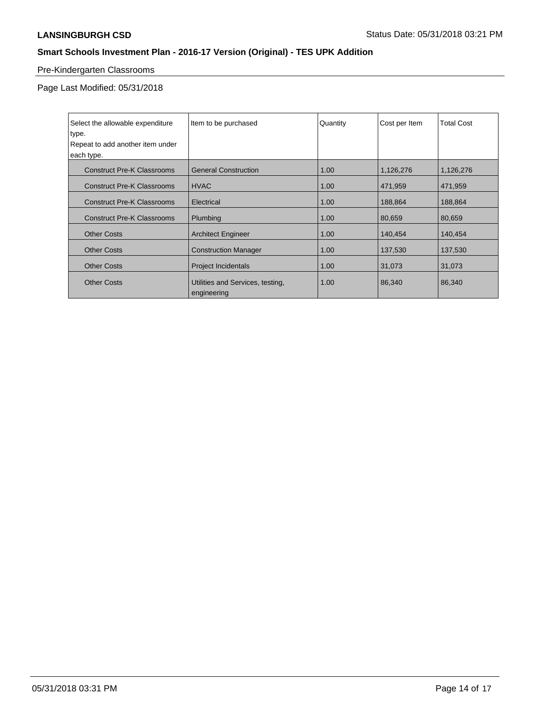# Pre-Kindergarten Classrooms

Page Last Modified: 05/31/2018

| Select the allowable expenditure  | Item to be purchased                            | Quantity | Cost per Item | <b>Total Cost</b> |
|-----------------------------------|-------------------------------------------------|----------|---------------|-------------------|
| type.                             |                                                 |          |               |                   |
| Repeat to add another item under  |                                                 |          |               |                   |
| each type.                        |                                                 |          |               |                   |
| <b>Construct Pre-K Classrooms</b> | <b>General Construction</b>                     | 1.00     | 1,126,276     | 1,126,276         |
| <b>Construct Pre-K Classrooms</b> | <b>HVAC</b>                                     | 1.00     | 471,959       | 471,959           |
| <b>Construct Pre-K Classrooms</b> | Electrical                                      | 1.00     | 188,864       | 188,864           |
| <b>Construct Pre-K Classrooms</b> | Plumbing                                        | 1.00     | 80,659        | 80,659            |
| <b>Other Costs</b>                | <b>Architect Engineer</b>                       | 1.00     | 140,454       | 140,454           |
| <b>Other Costs</b>                | <b>Construction Manager</b>                     | 1.00     | 137,530       | 137,530           |
| <b>Other Costs</b>                | <b>Project Incidentals</b>                      | 1.00     | 31,073        | 31,073            |
| <b>Other Costs</b>                | Utilities and Services, testing,<br>engineering | 1.00     | 86,340        | 86,340            |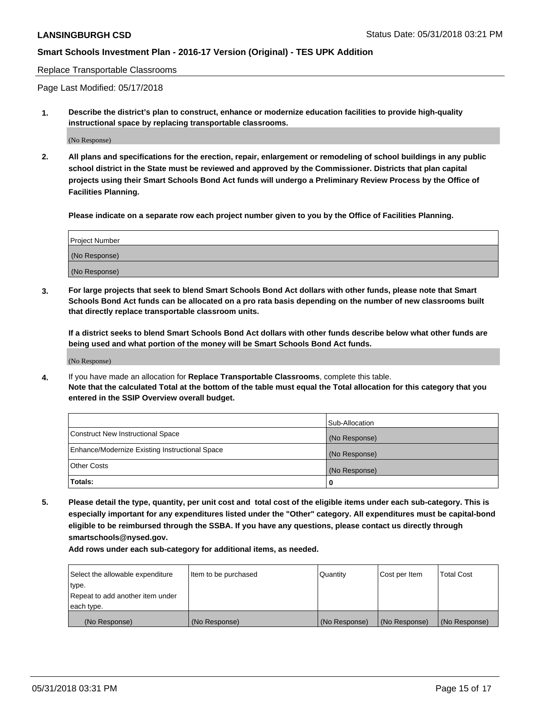Replace Transportable Classrooms

Page Last Modified: 05/17/2018

**1. Describe the district's plan to construct, enhance or modernize education facilities to provide high-quality instructional space by replacing transportable classrooms.**

(No Response)

**2. All plans and specifications for the erection, repair, enlargement or remodeling of school buildings in any public school district in the State must be reviewed and approved by the Commissioner. Districts that plan capital projects using their Smart Schools Bond Act funds will undergo a Preliminary Review Process by the Office of Facilities Planning.**

**Please indicate on a separate row each project number given to you by the Office of Facilities Planning.**

| Project Number |  |
|----------------|--|
| (No Response)  |  |
| (No Response)  |  |

**3. For large projects that seek to blend Smart Schools Bond Act dollars with other funds, please note that Smart Schools Bond Act funds can be allocated on a pro rata basis depending on the number of new classrooms built that directly replace transportable classroom units.**

**If a district seeks to blend Smart Schools Bond Act dollars with other funds describe below what other funds are being used and what portion of the money will be Smart Schools Bond Act funds.**

(No Response)

**4.** If you have made an allocation for **Replace Transportable Classrooms**, complete this table. **Note that the calculated Total at the bottom of the table must equal the Total allocation for this category that you entered in the SSIP Overview overall budget.**

|                                                | Sub-Allocation |
|------------------------------------------------|----------------|
| Construct New Instructional Space              | (No Response)  |
| Enhance/Modernize Existing Instructional Space | (No Response)  |
| Other Costs                                    | (No Response)  |
| Totals:                                        | 0              |

**5. Please detail the type, quantity, per unit cost and total cost of the eligible items under each sub-category. This is especially important for any expenditures listed under the "Other" category. All expenditures must be capital-bond eligible to be reimbursed through the SSBA. If you have any questions, please contact us directly through smartschools@nysed.gov.**

| Select the allowable expenditure | Item to be purchased | Quantity      | Cost per Item | <b>Total Cost</b> |
|----------------------------------|----------------------|---------------|---------------|-------------------|
| type.                            |                      |               |               |                   |
| Repeat to add another item under |                      |               |               |                   |
| each type.                       |                      |               |               |                   |
| (No Response)                    | (No Response)        | (No Response) | (No Response) | (No Response)     |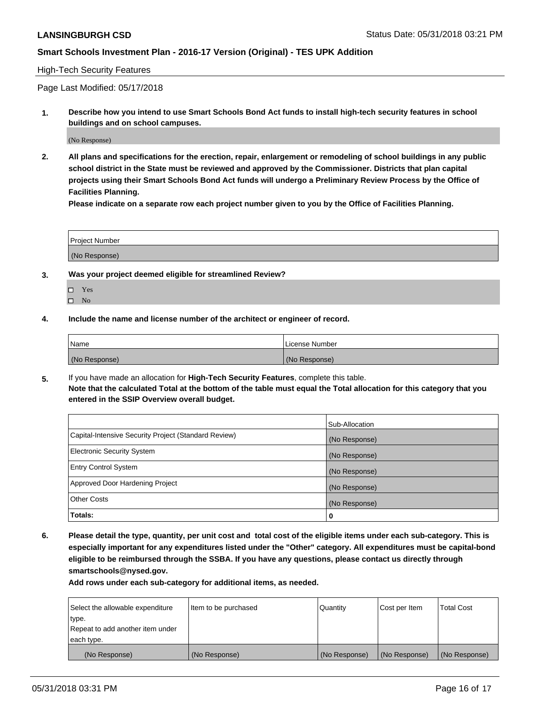#### High-Tech Security Features

Page Last Modified: 05/17/2018

**1. Describe how you intend to use Smart Schools Bond Act funds to install high-tech security features in school buildings and on school campuses.**

(No Response)

**2. All plans and specifications for the erection, repair, enlargement or remodeling of school buildings in any public school district in the State must be reviewed and approved by the Commissioner. Districts that plan capital projects using their Smart Schools Bond Act funds will undergo a Preliminary Review Process by the Office of Facilities Planning.** 

**Please indicate on a separate row each project number given to you by the Office of Facilities Planning.**

| <b>Project Number</b> |  |  |
|-----------------------|--|--|
|                       |  |  |
| (No Response)         |  |  |

- **3. Was your project deemed eligible for streamlined Review?**
	- Yes  $\square$  No
- **4. Include the name and license number of the architect or engineer of record.**

| l Name        | License Number |
|---------------|----------------|
| (No Response) | (No Response)  |

**5.** If you have made an allocation for **High-Tech Security Features**, complete this table. **Note that the calculated Total at the bottom of the table must equal the Total allocation for this category that you entered in the SSIP Overview overall budget.**

|                                                      | Sub-Allocation |
|------------------------------------------------------|----------------|
| Capital-Intensive Security Project (Standard Review) | (No Response)  |
| <b>Electronic Security System</b>                    | (No Response)  |
| <b>Entry Control System</b>                          | (No Response)  |
| Approved Door Hardening Project                      | (No Response)  |
| <b>Other Costs</b>                                   | (No Response)  |
| Totals:                                              | 0              |

**6. Please detail the type, quantity, per unit cost and total cost of the eligible items under each sub-category. This is especially important for any expenditures listed under the "Other" category. All expenditures must be capital-bond eligible to be reimbursed through the SSBA. If you have any questions, please contact us directly through smartschools@nysed.gov.**

| Select the allowable expenditure | Item to be purchased | Quantity      | Cost per Item | <b>Total Cost</b> |
|----------------------------------|----------------------|---------------|---------------|-------------------|
| type.                            |                      |               |               |                   |
| Repeat to add another item under |                      |               |               |                   |
| each type.                       |                      |               |               |                   |
| (No Response)                    | (No Response)        | (No Response) | (No Response) | (No Response)     |